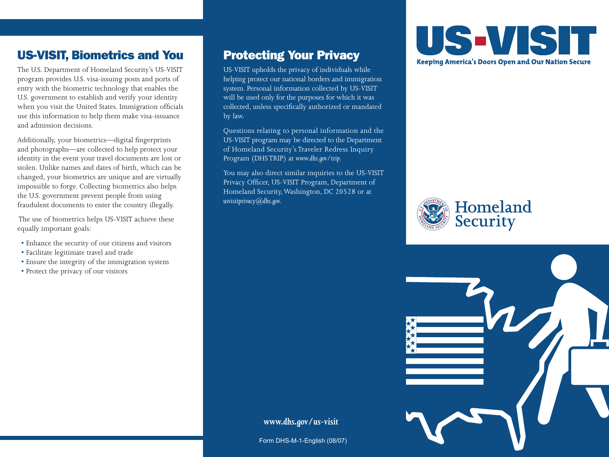## US-VISIT, Biometrics and You

The U.S. Department of Homeland Security's US-VISIT program provides U.S. visa-issuing posts and ports of entry with the biometric technology that enables the U.S. government to establish and verify your identity when you visit the United States. Immigration officials use this information to help them make visa-issuance and admission decisions.

Additionally, your biometrics—digital fingerprints and photographs—are collected to help protect your identity in the event your travel documents are lost or stolen. Unlike names and dates of birth, which can be changed, your biometrics are unique and are virtually impossible to forge. Collecting biometrics also helps the U.S. government prevent people from using fraudulent documents to enter the country illegally.

 The use of biometrics helps US-VISIT achieve these equally important goals:

- Enhance the security of our citizens and visitors
- Facilitate legitimate travel and trade
- Ensure the integrity of the immigration system
- Protect the privacy of our visitors

#### Protecting Your Privacy

US-VISIT upholds the privacy of individuals while helping protect our national borders and immigration system. Personal information collected by US-VISIT will be used only for the purposes for which it was collected, unless specifically authorized or mandated by law.

Questions relating to personal information and the US-VISIT program may be directed to the Department of Homeland Security's Traveler Redress Inquiry Program (DHS TRIP) at *www.dhs.gov/trip*.

You may also direct similar inquiries to the US-VISIT Privacy Officer, US-VISIT Program, Department of Homeland Security, Washington, DC 20528 or at *usvisitprivacy@dhs.gov.*







#### *www.dhs.gov/us-visit*

Form DHS-M-1-English (08/07)